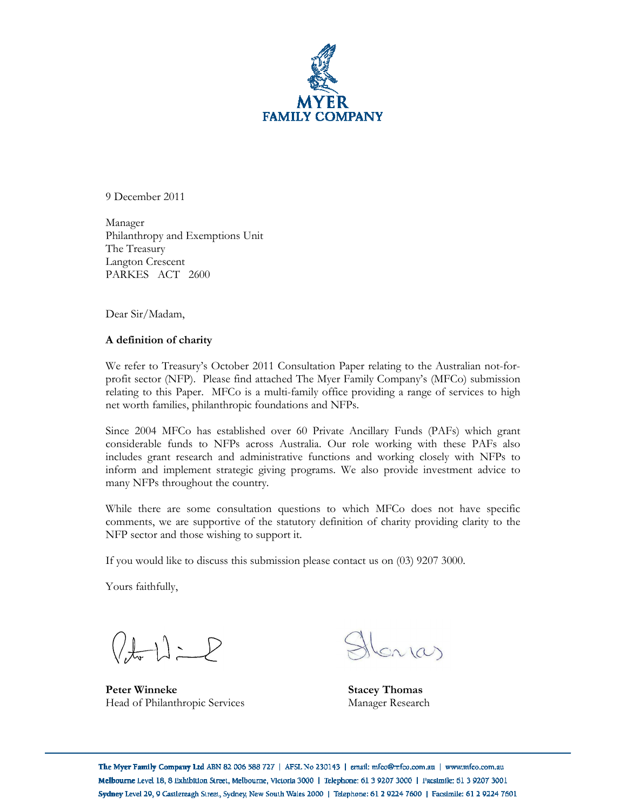

 December <sup>2011</sup>  $\overline{\phantom{a}}$  December

Manager Manager<br>Philanthropy and Exemptions Unit<br>The Treasurv The Treasury r miantmopy and Exer<br>The Treasury<br>Langton Crescent PARKES ACT 2600

Dear Sir/Madam,

### **definition of charity**  $\ddot{\phantom{0}}$

referming to the straint.<br>We refer to Treasury's October 2011 Consultation Paper relating to the Australian not-forfer to Treasury's October 2011 Consultation Paper relating to the Australian not-for-<br>sector (NFP). Please find attached The Myer Family Company's (MFCo) submission relating to the assury's Secoset 2011 Consultation Laper Tellating to the Trustrianal Hot Tor<br>profit sector (NFP). Please find attached The Myer Family Company's (MFCo) submission<br>relating to this Paper. MFCo is a multi-fa relating to this Paper. MFCo is a multi-family office providing a range of services to high net worth families, philanthropic foundations and NFPs.

 <sup>2004</sup> MFCo has established over <sup>60</sup> Private Ancillary Funds (PAFs) which grant considerable funds to NFPs across Australia. Our role working with these PAFs also includes grant research and administrative functions and working with these PAFs also<br>includes grant research and administrative functions and working closely with NFPs to includes grant research and administrative functions and working with these TAT's also<br>inform and implement strategic giving programs. We also provide investment advice to merides grant research and administration<br>inform and implement strategic giving<br>many NFPs throughout the country.

 there are some consultation questions to which MFCo does not have specific comments, we are supportive of the statutory definition of charity providing clarity to the NTHE there are some consultation questions<br>comments, we are supportive of the statutory<br>NFP sector and those wishing to support it. NFP sector and those wishing to support it.

If you would like to discuss this submission please contact us on  $(03)$  9207 3000.

Yours faithfully,

 $(\pm 1)$   $\geq$ 

 **Winneke Stacey Thomas Peter Winneke** Peter Winneke<br>
Head of Philanthropic Services<br>
Manager Research

Sn (a)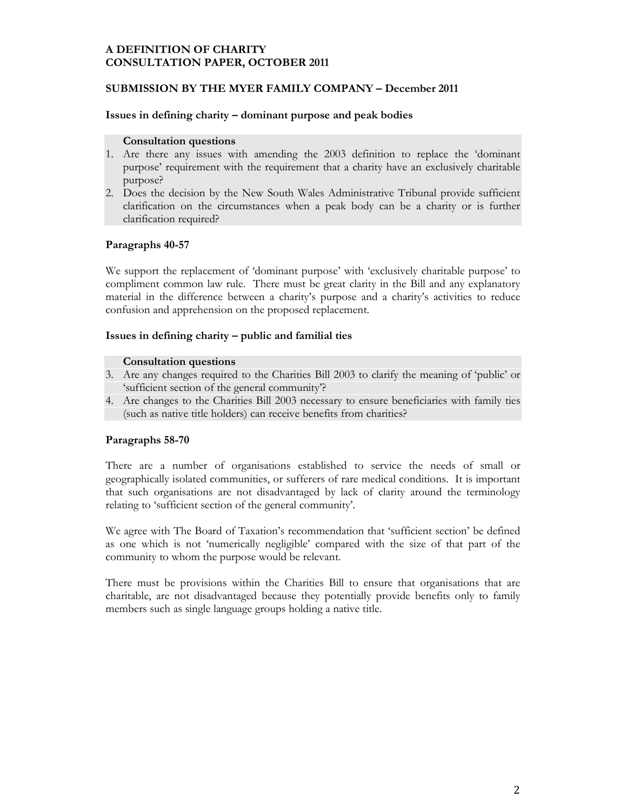### **A DEFINITION OF CHARITY PAPER, OCTOBER <sup>2011</sup> SUBMISSION**

### **BY THE MYER FAMILY COMPANY <sup>ñ</sup> December <sup>2011</sup> Issues**

### **in defining charity <sup>ñ</sup> dominant purpose and peak bodies Consultation**

#### **Consultation questions**

- **Consultation questions**<br>Are there any issues with amending the 2003 definition to replace the 'dominant<br>purpose' requirement with the requirement that a charity have an exclusively charitable purpose' requirement with the requirement that a charity have an exclusively charitable
- purpose requirement with the requirement that a enanty have an exertistivey enantiable<br>purpose?<br>clarification on the circumstances when a peak body can be a charity or is further Boes the decision by the ry<br>clarification on the circums<br>clarification required? clarification required?

### **40-57**  $\mathbf{u}$

Tanagraphs 40-57<br>We support the replacement of 'dominant purpose' with 'exclusively charitable purpose' to<br>compliment common law rule. There must be great clarity in the Bill and any explanatory we support the replacement of dominant purpose with exertsively enantiable purpose to<br>compliment common law rule. There must be great clarity in the Bill and any explanatory<br>material in the difference between a charity's p material in the difference between a charity's purpose and a charity's activities to reduce confusion and apprehension on the proposed replacement.

### **in defining charity <sup>ñ</sup> public and familial ties Consultation**

#### **Consultation questions**

- Consultation questions<br>
3. Are any changes required to the Charities Bill 2003 to clarify the meaning of 'public' or<br>
'sufficient section of the general community'?
- Are day changes to the Charities Bill 2003 necessary to ensure beneficiaries with family ties<br>
(such as native title holders) can receive benefits from charities? (such as native title holders) can receive benefits from charities?

### **58-70** r arag

There are a number of organisations established to service the needs of small or<br>geographically isolated communities, or sufferers of rare medical conditions. It is important there are a number of organisations established to service the needs of small of<br>geographically isolated communities, or sufferers of rare medical conditions. It is important<br>that such organisations are not disadvantaged b relating to 'sufficient section of the general community'.

relating to surficient section of the general community.<br>We agree with The Board of Taxation's recommendation that 'sufficient section' be defined<br>as one which is not 'numerically negligible' compared with the size of that as one which is not 'numerically negligible' compared<br>community to whom the purpose would be relevant.

commantly to whom the purpose would be relevant.<br>There must be provisions within the Charities Bill to ensure that organisations that are There must be provisions within the Charities Bill to ensure that organisations that are charitable, are not disadvantaged because they potentially provide benefits only to family members such as single language groups hol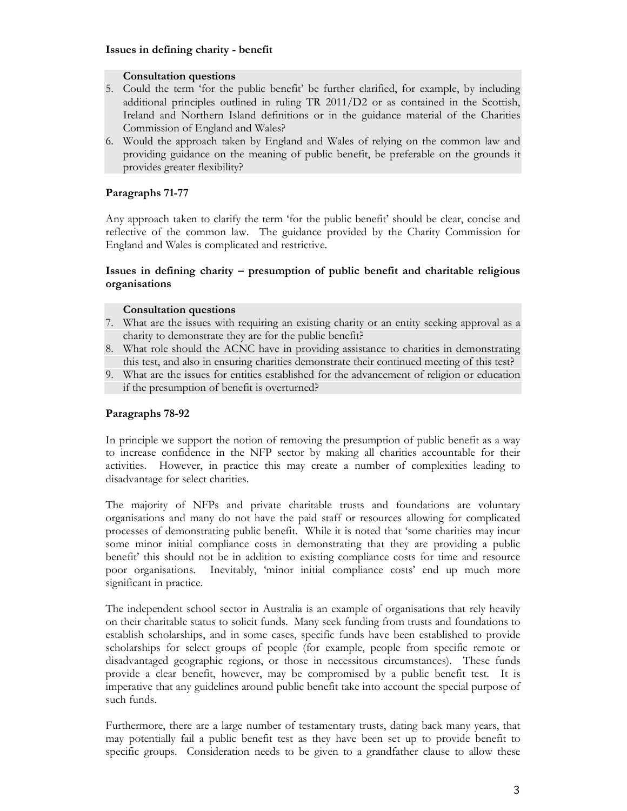### **in defining charity - benefit Consultation**

#### **Consultation questions**

- **Consultation questions**<br>Could the term 'for the public benefit' be further clarified, for example, by including principles outlined in ruling TR 2011/D2 or as contained in the Scottish, additional principles outlined in ruling TR 2011/D2 or as contained in the Scottish. al principles outlined in ruling TR 2011/D2 or as contained in the Scottish,<br>and Northern Island definitions or in the guidance material of the Charities Additional pinciples outlined in Talling 11<br>Ireland and Northern Island definitions of<br>Commission of England and Wales?
- Fremme and Torthern Tstand demindons of in the guidance material of the Guiances<br>Commission of England and Wales of relying on the common law and<br>providing guidance on the meaning of public benefit, be preferable on the gr would the approach taken by Eli<br>providing guidance on the mean:<br>provides greater flexibility? provides greater flexibility?

### **71-77**  $\overline{a}$

Any approach taken to clarify the term 'for the public benefit' should be clear, concise and<br>reflective of the common law. The guidance provided by the Charity Commission for England and Wales is complicated and restrictive.

## **inguing** and wates is complicated and restrictive.<br> **Issues in defining charity – presumption** of public benefit and charitable religious **organisations**

#### **Consultation questions**

- Consultation questions<br>
7. What are the issues with requiring an existing charity or an entity seeking approval as a<br>
charity to demonstrate they are for the public benefit?
- What are the issues with requiring an easing enarry or an entity seeking approvant as a<br>charity to demonstrate they are for the public benefit?<br>8. What role should the ACNC have in providing assistance to charities in demo this test, and also in ensuring charities demonstrate their continued meeting of this test?
- If the presumption of benefit is overturned? if the presumption of benefit is overturned?

### **78-92**  $\ddot{\phantom{0}}$

 principle we support the notion of removing the presumption of public benefit as <sup>a</sup> way to increase confidence in the NFP sector by making all charities accountable for their In principle we support the notion of temoving the presumption of public serient as a way<br>to increase confidence in the NFP sector by making all charities accountable for their<br>activities. However, in practice this may cre disadvantage for select charities.<br>disadvantage for select charities.

 majority of NFPs and private charitable trusts and foundations are voluntary organisations and many do not have the paid staff or resources allowing for complicated processes of demonstrating public benefit. While it is noted that 'some charities may incur solutions and many do not have the pad start of resources allowing for completed<br>processes of demonstrating public benefit. While it is noted that 'some charities may incur<br>some minor initial compliance costs in demonstrat benefit' this should not be in addition to existing compliance costs for time and resource poor organisations. Inevitably, 'minor initial compliance costs for time and resource<br>poor organisations. Inevitably, 'minor initial compliance costs' end up much more poor organisations. poor organisations. Inevitably, 'minor initial compliance costs' end up much more significant in practice.

significant in praetice.<br>The independent school sector in Australia is an example of organisations that rely heavily<br>on their charitable status to solicit funds. Many seek funding from trusts and foundations to Fire macpendent sensor sector in Frustralia is an example of organisations that fely heavily<br>on their charitable status to solicit funds. Many seek funding from trusts and foundations to<br>establish scholarships, and in some of their chantaine status to solicit runds. Thany seen runding from trusts and foundations to<br>establish scholarships, and in some cases, specific funds have been established to provide<br>scholarships for select groups of peo establish scholarships, and in some cases, specific rands have been established to provide<br>scholarships for select groups of people (for example, people from specific remote or<br>disadvantaged geographic regions, or those in provide a clear benefit, however, may be compromised by a public benefit test. It is instantial geographic regions, or those in necessitious encalisations. These rands<br>provide a clear benefit, however, may be compromised by a public benefit test. It is<br>imperative that any guidelines around public benefit t provide a clear<br>imperative that<br>such funds.

specific groups. Consideration needs to be given to a grandfather clause to allow these such rands.<br>Furthermore, there are a large number of testamentary trusts, dating back many years, that<br>may potentially fail a public benefit test as they have been set up to provide benefit to specific groups. Consideration needs to be given to a grandfather clause to allow these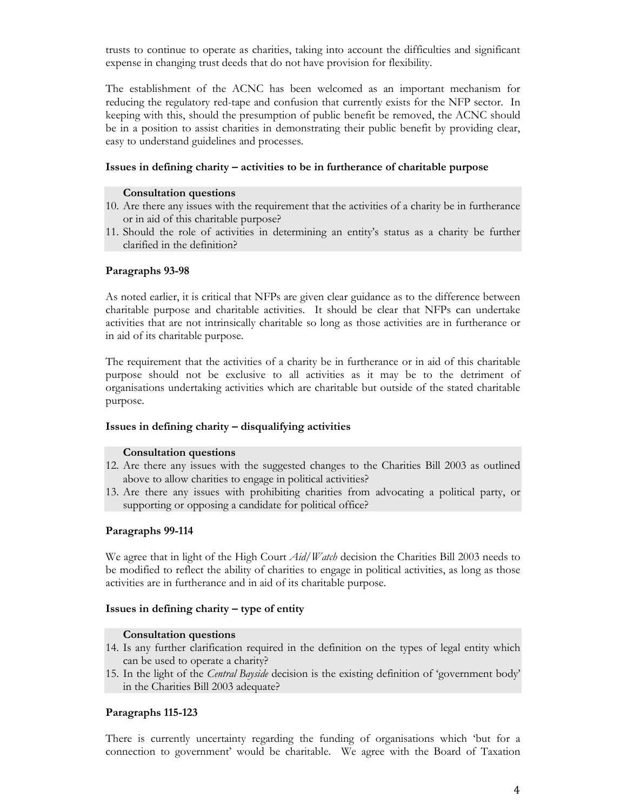trusts to continue to operate as charities, taking into account the difficulties and significant expense in changing trust deeds that do not have provision for flexibility.

 establishment of the ACNC has been welcomed as an important mechanism for reducing the regulatory red-tape and confusion that currently exists for the NFP sector. In reducing the regulatory red-tape and confusion that currently exists for the NFP sector. In keeping with this, should the presumption of public benefit be removed, the ACNC should be in a position to assist charities in demonstrating their public benefit by providing clear,<br>bein a position to assist charities in demonstrating their public benefit by providing clear, be in a position to assist charities in demonstrating their public benefit by providing clear, easy to understand guidelines and processes.

### **in defining charity <sup>ñ</sup> activities to be in furtherance of charitable purpose Consultation**

#### **Consultation questions**

- **Consultation questions**<br>10. Are there any issues with the requirement that the activities of a charity be in furtherance<br>or in aid of this charitable purpose?
- Should the role of activities in determining an entity's status as a charity be further clarified in the definition? **Paragraphs**

### **93-98**  $\overline{a}$

 noted earlier, it is critical that NFPs are given clear guidance as to the difference between charitable purpose and charitable activities. It should be clear that NFPs can undertake For noted earner, it is entical that 1 CFTs are given elear guidance as to the difference between<br>charitable purpose and charitable activities. It should be clear that NFPs can undertake<br>activities that are not intrinsical enantable purpose and enantable<br>activities that are not intrinsically of<br>in aid of its charitable purpose.

The requirement that the activities of a charity be in furtherance or in aid of this charitable<br>purpose should not be exclusive to all activities as it may be to the detriment of purpose should not be exclusive to all activities as it may be to the detriment of organisations undertaking activities which are charitable but outside of the stated charitable organisations undertaking activities which are charitable but outside of the stated charitable purpose.

### **in defining charity <sup>ñ</sup> disqualifying activities Consultation**

#### **Consultation questions**

- Consultation questions<br>
12. Are there any issues with the suggested changes to the Charities Bill 2003 as outlined<br>
above to allow charities to engage in political activities?
- Are there any issues with the suggested enanges to the Unantees Bin 2009 as oldified<br>above to allow charities to engage in political activities?<br>Are there any issues with prohibiting charities from advocating a political p supporting or opposing a candidate for political office? **99-114**

### $\ddot{ }$

 agree that in light of the High Court *Aid/Watch* decision the Charities Bill <sup>2003</sup> needs to be modified to reflect the ability of charities to engage in political activities, as long as those we agree that in fight of the ringh court 2 half wand deefs on the C<br>be modified to reflect the ability of charities to engage in political<br>activities are in furtherance and in aid of its charitable purpose.

### **in defining charity <sup>ñ</sup> type of entity Consultation**

#### **Consultation questions**

- **Consultation questions**<br>14. Is any further clarification required in the definition on the types of legal entity which<br>can be used to operate a charity? In the light of the *Central Bayside* decision is the existing definition of 'government body'<br>In the light of the *Central Bayside* decision is the existing definition of 'government body'
- the light of the *Central Bayside* decision<br>the Charities Bill 2003 adequate? in the Charities Bill 2003 adequate?

### **115-123** r arag

connection to government' would be charitable. We agree with the Board of Taxation is currently uncertainty regarding the funding of organisations which ëbut for <sup>a</sup> connection to governmentí would be charitable. We agree with the Board of Taxation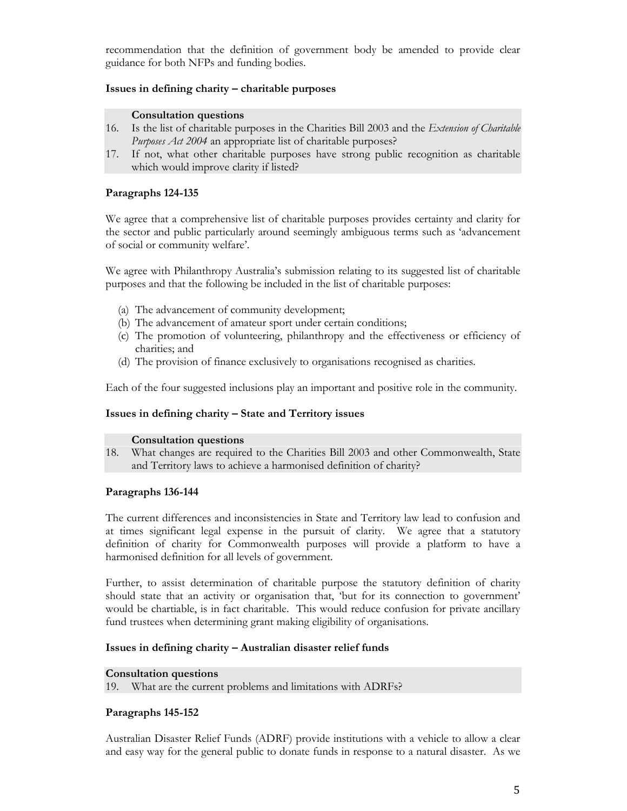recommendation that the definition of government body be amended to provide clear<br>guidance for both NFPs and funding bodies.

### **in defining charity <sup>ñ</sup> charitable purposes**  $\overline{\mathcal{E}}$  in action<sub>s</sub>

#### **Consultation questions**

- Is the list of charitable purposes in the Charities Bill <sup>2003</sup> and the *Extension of Charitable Purposes Act <sup>2004</sup>* an appropriate list of charitable purposes? 16.
- For the list of charitable purposes in the charitable purposes?<br>
If not, what other charitable purposes have strong public recognition as charitable<br>
which would improve clarity if listed? which would improve clarity if listed?

### **124-135**  $\ddot{ }$

 agree that <sup>a</sup> comprehensive list of charitable purposes provides certainty and clarity for the sector and public particularly around seemingly ambiguous terms such as ëadvancement we agree that a comprenents the<br>the sector and public particularly are<br>of social or community welfare'.

 agree with Philanthropy Australiaís submission relating to its suggested list of charitable purposes and that the following be included in the list of charitable purposes: purposes and that the following be included in the list of charitable purposes:

- (a) The advancement of community development:
- (a) The advancement of community development;<br>(b) The advancement of amateur sport under certain conditions;
- (a) The advancement of amateur sport under certain conditions;<br>
(c) The promotion of volunteering, philanthropy and the effectiveness or efficiency of charities; and charities; and<br>(d) The provision of finance exclusively to organisations recognised as charities.
- 

Each of the four suggested inclusions play an important and positive role in the community.

### **in defining charity <sup>ñ</sup> State and Territory issues**  $\overline{\mathcal{E}}$  in action<sub>s</sub>

#### **Consultation questions**

 What changes are required to the Charities Bill <sup>2003</sup> and other Commonwealth, State and Territory laws to achieve <sup>a</sup> harmonised definition of charity? 18. and Territory laws to achieve a harmonised definition of charity?

### **136-144**  $\overline{ }$  and

The current differences and inconsistencies in State and Territory law lead to confusion and<br>at times significant legal expense in the pursuit of clarity. We agree that a statutory In the carrent directences and methodology in state and Termory law lead to complex and<br>at times significant legal expense in the pursuit of clarity. We agree that a statutory<br>definition of charity for Commonwealth purpose definition of charity for Commonwealth purposes<br>harmonised definition for all levels of government.

Further, to assist determination of charitable purpose the statutory definition of charity<br>should state that an activity or organisation that, but for its connection to government' should state that an activity or organisation that, 'but for its connection to government' fund trustees when determining grant making eligibility of organisations.

### **in defining charity <sup>ñ</sup> Australian disaster relief funds Consultation**

# **questions** 19.

**ultation questions**<br>What are the current problems and limitations with ADRFs? **Propriety** 

### **145-152** r anglapi

and easy way for the general public to donate funds in response to a natural disaster. As we Disaster Relief Funds (ADRF) provide institutions with <sup>a</sup> vehicle to allow <sup>a</sup> clear and easy way for the general public to donate funds in response to <sup>a</sup> natural disaster. As we